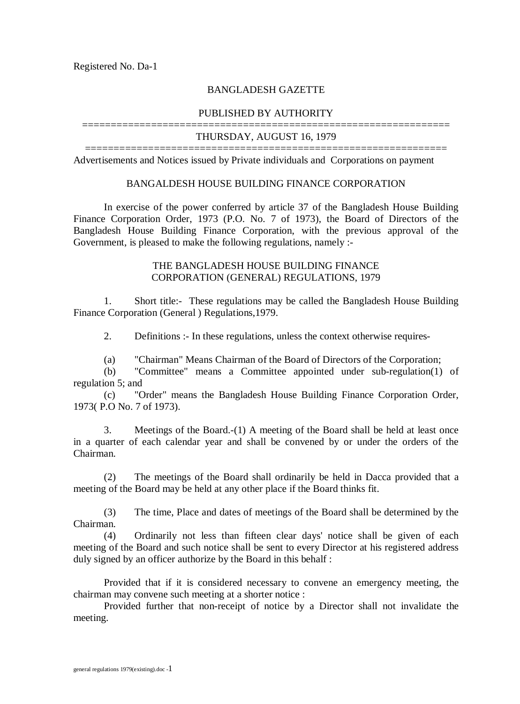### BANGLADESH GAZETTE

#### PUBLISHED BY AUTHORITY

### ================================================================ THURSDAY, AUGUST 16, 1979

=============================================================== Advertisements and Notices issued by Private individuals and Corporations on payment

#### BANGALDESH HOUSE BUILDING FINANCE CORPORATION

In exercise of the power conferred by article 37 of the Bangladesh House Building Finance Corporation Order, 1973 (P.O. No. 7 of 1973), the Board of Directors of the Bangladesh House Building Finance Corporation, with the previous approval of the Government, is pleased to make the following regulations, namely :-

### THE BANGLADESH HOUSE BUILDING FINANCE CORPORATION (GENERAL) REGULATIONS, 1979

1. Short title:- These regulations may be called the Bangladesh House Building Finance Corporation (General ) Regulations,1979.

2. Definitions :- In these regulations, unless the context otherwise requires-

(a) "Chairman" Means Chairman of the Board of Directors of the Corporation;

(b) "Committee" means a Committee appointed under sub-regulation(1) of regulation 5; and

(c) "Order" means the Bangladesh House Building Finance Corporation Order, 1973( P.O No. 7 of 1973).

3. Meetings of the Board.-(1) A meeting of the Board shall be held at least once in a quarter of each calendar year and shall be convened by or under the orders of the Chairman.

(2) The meetings of the Board shall ordinarily be held in Dacca provided that a meeting of the Board may be held at any other place if the Board thinks fit.

(3) The time, Place and dates of meetings of the Board shall be determined by the Chairman.

(4) Ordinarily not less than fifteen clear days' notice shall be given of each meeting of the Board and such notice shall be sent to every Director at his registered address duly signed by an officer authorize by the Board in this behalf :

Provided that if it is considered necessary to convene an emergency meeting, the chairman may convene such meeting at a shorter notice :

Provided further that non-receipt of notice by a Director shall not invalidate the meeting.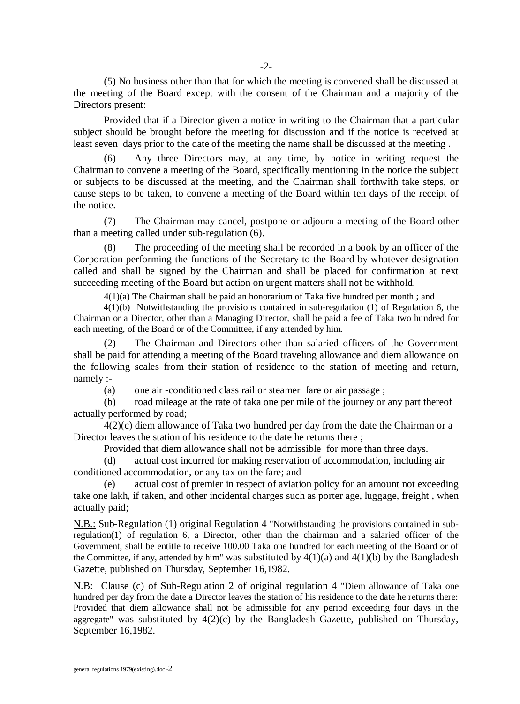(5) No business other than that for which the meeting is convened shall be discussed at the meeting of the Board except with the consent of the Chairman and a majority of the Directors present:

Provided that if a Director given a notice in writing to the Chairman that a particular subject should be brought before the meeting for discussion and if the notice is received at least seven days prior to the date of the meeting the name shall be discussed at the meeting .

(6) Any three Directors may, at any time, by notice in writing request the Chairman to convene a meeting of the Board, specifically mentioning in the notice the subject or subjects to be discussed at the meeting, and the Chairman shall forthwith take steps, or cause steps to be taken, to convene a meeting of the Board within ten days of the receipt of the notice.

(7) The Chairman may cancel, postpone or adjourn a meeting of the Board other than a meeting called under sub-regulation (6).

(8) The proceeding of the meeting shall be recorded in a book by an officer of the Corporation performing the functions of the Secretary to the Board by whatever designation called and shall be signed by the Chairman and shall be placed for confirmation at next succeeding meeting of the Board but action on urgent matters shall not be withhold.

4(1)(a) The Chairman shall be paid an honorarium of Taka five hundred per month ; and

 $4(1)(b)$  Notwithstanding the provisions contained in sub-regulation  $(1)$  of Regulation 6, the Chairman or a Director, other than a Managing Director, shall be paid a fee of Taka two hundred for each meeting, of the Board or of the Committee, if any attended by him.

(2) The Chairman and Directors other than salaried officers of the Government shall be paid for attending a meeting of the Board traveling allowance and diem allowance on the following scales from their station of residence to the station of meeting and return, namely :-

(a) one air -conditioned class rail or steamer fare or air passage ;

(b) road mileage at the rate of taka one per mile of the journey or any part thereof actually performed by road;

4(2)(c) diem allowance of Taka two hundred per day from the date the Chairman or a Director leaves the station of his residence to the date he returns there ;

Provided that diem allowance shall not be admissible for more than three days.

(d) actual cost incurred for making reservation of accommodation, including air conditioned accommodation, or any tax on the fare; and

(e) actual cost of premier in respect of aviation policy for an amount not exceeding take one lakh, if taken, and other incidental charges such as porter age, luggage, freight , when actually paid;

N.B.: Sub-Regulation (1) original Regulation 4 "Notwithstanding the provisions contained in subregulation(1) of regulation 6, a Director, other than the chairman and a salaried officer of the Government, shall be entitle to receive 100.00 Taka one hundred for each meeting of the Board or of the Committee, if any, attended by him" was substituted by  $4(1)(a)$  and  $4(1)(b)$  by the Bangladesh Gazette, published on Thursday, September 16,1982.

N.B: Clause (c) of Sub-Regulation 2 of original regulation 4 "Diem allowance of Taka one hundred per day from the date a Director leaves the station of his residence to the date he returns there: Provided that diem allowance shall not be admissible for any period exceeding four days in the aggregate" was substituted by  $4(2)(c)$  by the Bangladesh Gazette, published on Thursday, September 16,1982.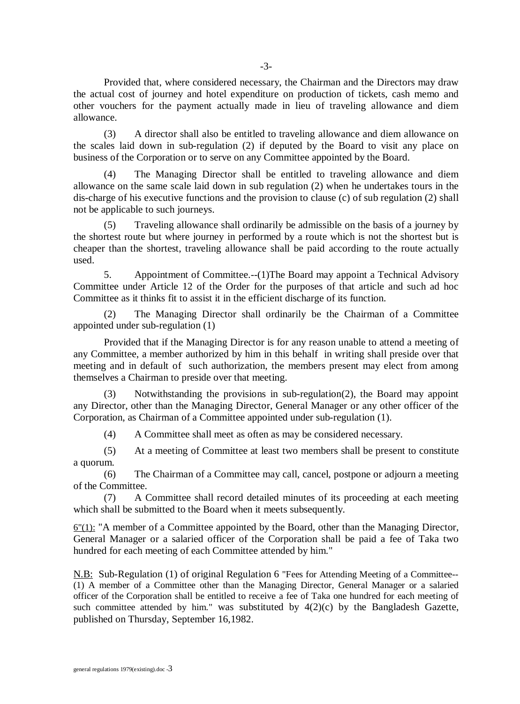Provided that, where considered necessary, the Chairman and the Directors may draw the actual cost of journey and hotel expenditure on production of tickets, cash memo and other vouchers for the payment actually made in lieu of traveling allowance and diem allowance.

(3) A director shall also be entitled to traveling allowance and diem allowance on the scales laid down in sub-regulation (2) if deputed by the Board to visit any place on business of the Corporation or to serve on any Committee appointed by the Board.

(4) The Managing Director shall be entitled to traveling allowance and diem allowance on the same scale laid down in sub regulation (2) when he undertakes tours in the dis-charge of his executive functions and the provision to clause (c) of sub regulation (2) shall not be applicable to such journeys.

(5) Traveling allowance shall ordinarily be admissible on the basis of a journey by the shortest route but where journey in performed by a route which is not the shortest but is cheaper than the shortest, traveling allowance shall be paid according to the route actually used.

5. Appointment of Committee.--(1)The Board may appoint a Technical Advisory Committee under Article 12 of the Order for the purposes of that article and such ad hoc Committee as it thinks fit to assist it in the efficient discharge of its function.

The Managing Director shall ordinarily be the Chairman of a Committee appointed under sub-regulation (1)

Provided that if the Managing Director is for any reason unable to attend a meeting of any Committee, a member authorized by him in this behalf in writing shall preside over that meeting and in default of such authorization, the members present may elect from among themselves a Chairman to preside over that meeting.

(3) Notwithstanding the provisions in sub-regulation(2), the Board may appoint any Director, other than the Managing Director, General Manager or any other officer of the Corporation, as Chairman of a Committee appointed under sub-regulation (1).

(4) A Committee shall meet as often as may be considered necessary.

(5) At a meeting of Committee at least two members shall be present to constitute a quorum.

(6) The Chairman of a Committee may call, cancel, postpone or adjourn a meeting of the Committee.

(7) A Committee shall record detailed minutes of its proceeding at each meeting which shall be submitted to the Board when it meets subsequently.

6"(1): "A member of a Committee appointed by the Board, other than the Managing Director, General Manager or a salaried officer of the Corporation shall be paid a fee of Taka two hundred for each meeting of each Committee attended by him."

N.B: Sub-Regulation (1) of original Regulation 6 "Fees for Attending Meeting of a Committee-- (1) A member of a Committee other than the Managing Director, General Manager or a salaried officer of the Corporation shall be entitled to receive a fee of Taka one hundred for each meeting of such committee attended by him." was substituted by  $4(2)(c)$  by the Bangladesh Gazette, published on Thursday, September 16,1982.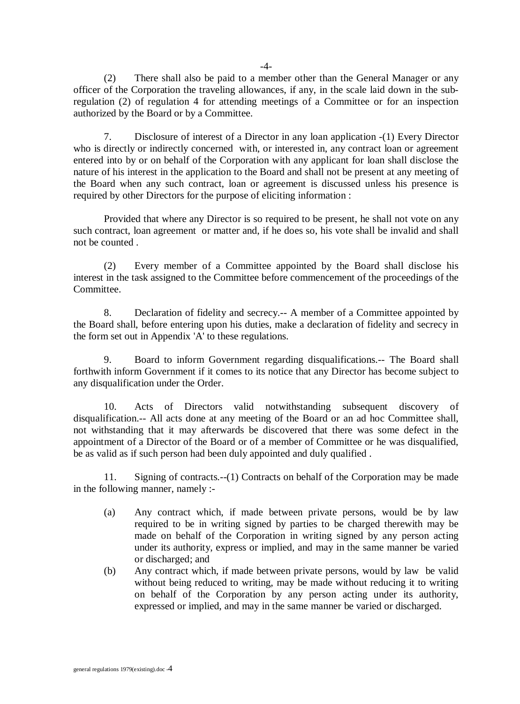(2) There shall also be paid to a member other than the General Manager or any officer of the Corporation the traveling allowances, if any, in the scale laid down in the subregulation (2) of regulation 4 for attending meetings of a Committee or for an inspection authorized by the Board or by a Committee.

7. Disclosure of interest of a Director in any loan application -(1) Every Director who is directly or indirectly concerned with, or interested in, any contract loan or agreement entered into by or on behalf of the Corporation with any applicant for loan shall disclose the nature of his interest in the application to the Board and shall not be present at any meeting of the Board when any such contract, loan or agreement is discussed unless his presence is required by other Directors for the purpose of eliciting information :

Provided that where any Director is so required to be present, he shall not vote on any such contract, loan agreement or matter and, if he does so, his vote shall be invalid and shall not be counted .

(2) Every member of a Committee appointed by the Board shall disclose his interest in the task assigned to the Committee before commencement of the proceedings of the Committee.

8. Declaration of fidelity and secrecy.-- A member of a Committee appointed by the Board shall, before entering upon his duties, make a declaration of fidelity and secrecy in the form set out in Appendix 'A' to these regulations.

9. Board to inform Government regarding disqualifications.-- The Board shall forthwith inform Government if it comes to its notice that any Director has become subject to any disqualification under the Order.

10. Acts of Directors valid notwithstanding subsequent discovery of disqualification.-- All acts done at any meeting of the Board or an ad hoc Committee shall, not withstanding that it may afterwards be discovered that there was some defect in the appointment of a Director of the Board or of a member of Committee or he was disqualified, be as valid as if such person had been duly appointed and duly qualified .

11. Signing of contracts.--(1) Contracts on behalf of the Corporation may be made in the following manner, namely :-

- (a) Any contract which, if made between private persons, would be by law required to be in writing signed by parties to be charged therewith may be made on behalf of the Corporation in writing signed by any person acting under its authority, express or implied, and may in the same manner be varied or discharged; and
- (b) Any contract which, if made between private persons, would by law be valid without being reduced to writing, may be made without reducing it to writing on behalf of the Corporation by any person acting under its authority, expressed or implied, and may in the same manner be varied or discharged.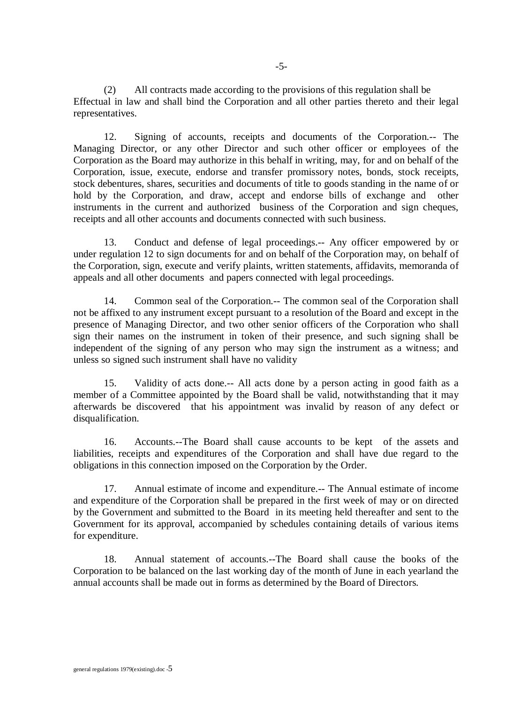(2) All contracts made according to the provisions of this regulation shall be Effectual in law and shall bind the Corporation and all other parties thereto and their legal representatives.

12. Signing of accounts, receipts and documents of the Corporation.-- The Managing Director, or any other Director and such other officer or employees of the Corporation as the Board may authorize in this behalf in writing, may, for and on behalf of the Corporation, issue, execute, endorse and transfer promissory notes, bonds, stock receipts, stock debentures, shares, securities and documents of title to goods standing in the name of or hold by the Corporation, and draw, accept and endorse bills of exchange and other instruments in the current and authorized business of the Corporation and sign cheques, receipts and all other accounts and documents connected with such business.

13. Conduct and defense of legal proceedings.-- Any officer empowered by or under regulation 12 to sign documents for and on behalf of the Corporation may, on behalf of the Corporation, sign, execute and verify plaints, written statements, affidavits, memoranda of appeals and all other documents and papers connected with legal proceedings.

14. Common seal of the Corporation.-- The common seal of the Corporation shall not be affixed to any instrument except pursuant to a resolution of the Board and except in the presence of Managing Director, and two other senior officers of the Corporation who shall sign their names on the instrument in token of their presence, and such signing shall be independent of the signing of any person who may sign the instrument as a witness; and unless so signed such instrument shall have no validity

15. Validity of acts done.-- All acts done by a person acting in good faith as a member of a Committee appointed by the Board shall be valid, notwithstanding that it may afterwards be discovered that his appointment was invalid by reason of any defect or disqualification.

16. Accounts.--The Board shall cause accounts to be kept of the assets and liabilities, receipts and expenditures of the Corporation and shall have due regard to the obligations in this connection imposed on the Corporation by the Order.

17. Annual estimate of income and expenditure.-- The Annual estimate of income and expenditure of the Corporation shall be prepared in the first week of may or on directed by the Government and submitted to the Board in its meeting held thereafter and sent to the Government for its approval, accompanied by schedules containing details of various items for expenditure.

18. Annual statement of accounts.--The Board shall cause the books of the Corporation to be balanced on the last working day of the month of June in each yearland the annual accounts shall be made out in forms as determined by the Board of Directors.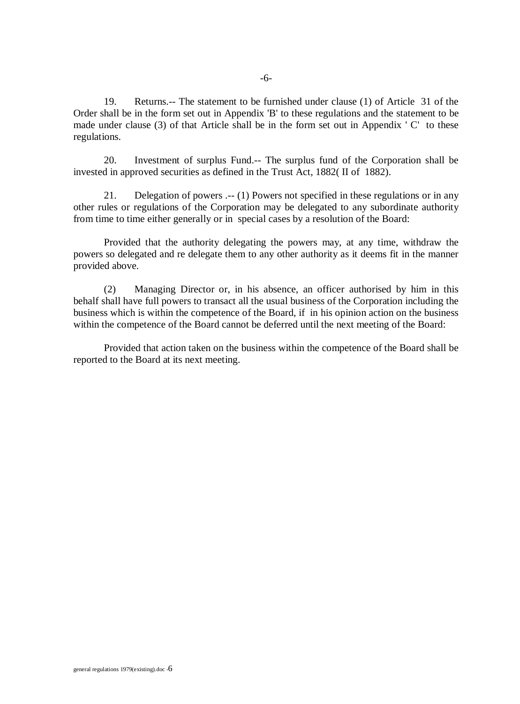19. Returns.-- The statement to be furnished under clause (1) of Article 31 of the Order shall be in the form set out in Appendix 'B' to these regulations and the statement to be made under clause (3) of that Article shall be in the form set out in Appendix ' C' to these regulations.

20. Investment of surplus Fund.-- The surplus fund of the Corporation shall be invested in approved securities as defined in the Trust Act, 1882( II of 1882).

21. Delegation of powers .-- (1) Powers not specified in these regulations or in any other rules or regulations of the Corporation may be delegated to any subordinate authority from time to time either generally or in special cases by a resolution of the Board:

Provided that the authority delegating the powers may, at any time, withdraw the powers so delegated and re delegate them to any other authority as it deems fit in the manner provided above.

(2) Managing Director or, in his absence, an officer authorised by him in this behalf shall have full powers to transact all the usual business of the Corporation including the business which is within the competence of the Board, if in his opinion action on the business within the competence of the Board cannot be deferred until the next meeting of the Board:

Provided that action taken on the business within the competence of the Board shall be reported to the Board at its next meeting.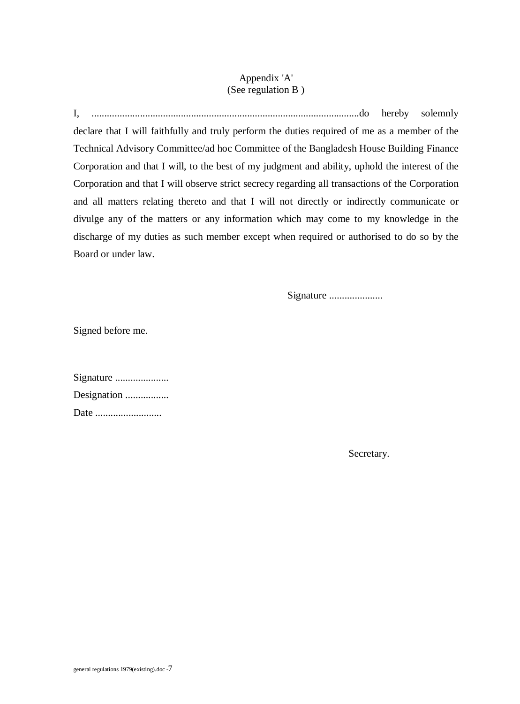## Appendix 'A' (See regulation B )

I, .........................................................................................................do hereby solemnly declare that I will faithfully and truly perform the duties required of me as a member of the Technical Advisory Committee/ad hoc Committee of the Bangladesh House Building Finance Corporation and that I will, to the best of my judgment and ability, uphold the interest of the Corporation and that I will observe strict secrecy regarding all transactions of the Corporation and all matters relating thereto and that I will not directly or indirectly communicate or divulge any of the matters or any information which may come to my knowledge in the discharge of my duties as such member except when required or authorised to do so by the Board or under law.

Signature .......................

Signed before me.

| Signature   |
|-------------|
| Designation |
| Date        |

Secretary.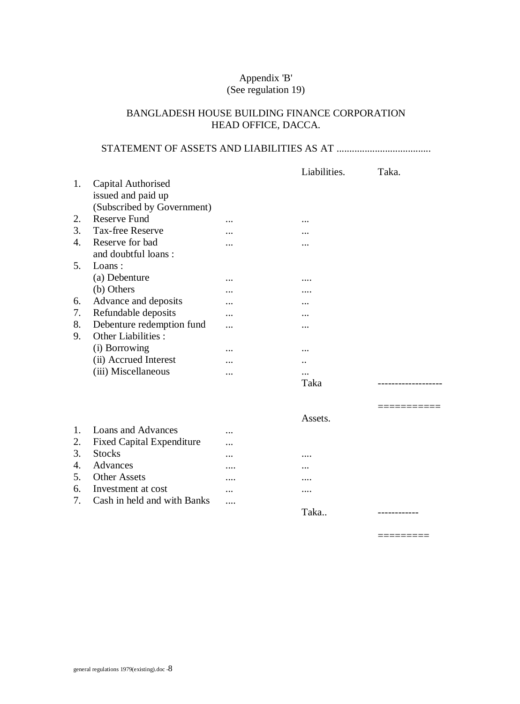### Appendix 'B' (See regulation 19)

## BANGLADESH HOUSE BUILDING FINANCE CORPORATION HEAD OFFICE, DACCA.

# STATEMENT OF ASSETS AND LIABILITIES AS AT .....................................

|    |                                  |           | Liabilities. | Taka. |
|----|----------------------------------|-----------|--------------|-------|
| 1. | Capital Authorised               |           |              |       |
|    | issued and paid up               |           |              |       |
|    | (Subscribed by Government)       |           |              |       |
| 2. | <b>Reserve Fund</b>              | .         |              |       |
| 3. | <b>Tax-free Reserve</b>          | .         |              |       |
| 4. | Reserve for bad                  | .         |              |       |
|    | and doubtful loans:              |           |              |       |
| 5. | Loans:                           |           |              |       |
|    | (a) Debenture                    | .         | .            |       |
|    | (b) Others                       | .         | .            |       |
| 6. | Advance and deposits             | .         | .            |       |
| 7. | Refundable deposits              | .         |              |       |
| 8. | Debenture redemption fund        | .         |              |       |
| 9. | Other Liabilities :              |           |              |       |
|    | (i) Borrowing                    |           |              |       |
|    | (ii) Accrued Interest            |           |              |       |
|    | (iii) Miscellaneous              | .         |              |       |
|    |                                  |           | Taka         |       |
|    |                                  |           |              |       |
|    |                                  |           | Assets.      |       |
| 1. | Loans and Advances               |           |              |       |
| 2. | <b>Fixed Capital Expenditure</b> |           |              |       |
| 3. | <b>Stocks</b>                    | $\ddotsc$ | .            |       |
| 4. | Advances                         |           |              |       |
| 5. | <b>Other Assets</b>              |           |              |       |
| 6. | Investment at cost               |           |              |       |
| 7. | Cash in held and with Banks      | $\cdots$  |              |       |
|    |                                  |           | Taka         |       |
|    |                                  |           |              |       |

 $=$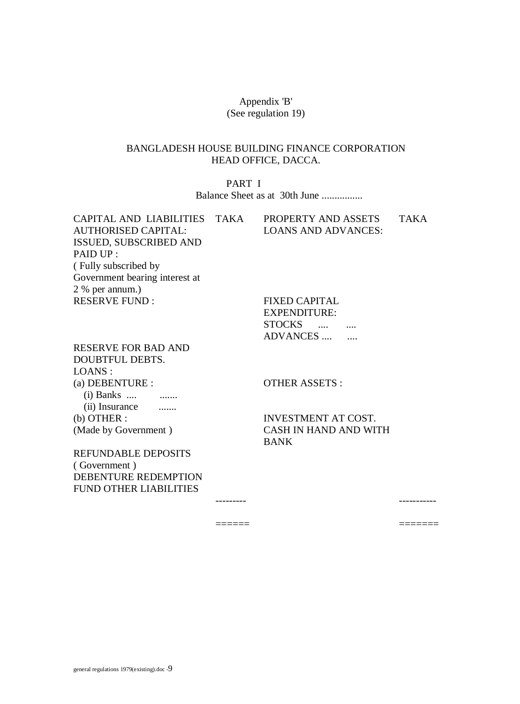### Appendix 'B' (See regulation 19)

### BANGLADESH HOUSE BUILDING FINANCE CORPORATION HEAD OFFICE, DACCA.

PART I Balance Sheet as at 30th June ................

CAPITAL AND LIABILITIES TAKA PROPERTY AND ASSETS TAKA AUTHORISED CAPITAL: ISSUED, SUBSCRIBED AND PAID UP : ( Fully subscribed by Government bearing interest at 2 % per annum.) RESERVE FUND : FIXED CAPITAL

LOANS AND ADVANCES:

EXPENDITURE: STOCKS .... .... ADVANCES .... ....

RESERVE FOR BAD AND DOUBTFUL DEBTS. LOANS : (a) DEBENTURE : (i) Banks .... ........ (ii) Insurance ....... (b) OTHER : (Made by Government )

OTHER ASSETS :

---------

 $=$ 

INVESTMENT AT COST. CASH IN HAND AND WITH BANK

-----------

=======

REFUNDABLE DEPOSITS ( Government ) DEBENTURE REDEMPTION FUND OTHER LIABILITIES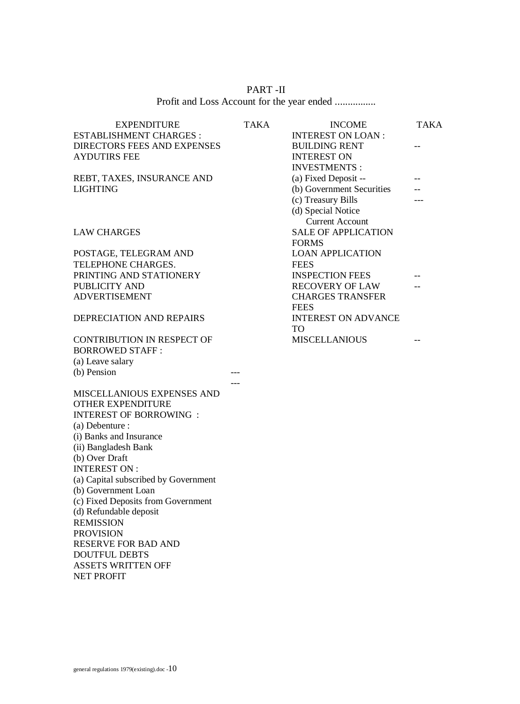| PART-II |
|---------|
|         |

| <b>EXPENDITURE</b>                                     | TAKA | <b>INCOME</b>                                     | <b>TAKA</b> |
|--------------------------------------------------------|------|---------------------------------------------------|-------------|
| ESTABLISHMENT CHARGES :                                |      | <b>INTEREST ON LOAN:</b>                          |             |
| <b>DIRECTORS FEES AND EXPENSES</b>                     |      | <b>BUILDING RENT</b>                              | --          |
| <b>AYDUTIRS FEE</b>                                    |      | <b>INTEREST ON</b>                                |             |
|                                                        |      | <b>INVESTMENTS:</b>                               |             |
| REBT, TAXES, INSURANCE AND<br>LIGHTING                 |      | (a) Fixed Deposit --<br>(b) Government Securities |             |
|                                                        |      | (c) Treasury Bills                                |             |
|                                                        |      | (d) Special Notice                                |             |
|                                                        |      | <b>Current Account</b>                            |             |
| LAW CHARGES                                            |      | <b>SALE OF APPLICATION</b>                        |             |
|                                                        |      | <b>FORMS</b>                                      |             |
| POSTAGE, TELEGRAM AND                                  |      | <b>LOAN APPLICATION</b>                           |             |
| TELEPHONE CHARGES.                                     |      | <b>FEES</b>                                       |             |
| PRINTING AND STATIONERY                                |      | <b>INSPECTION FEES</b>                            |             |
| PUBLICITY AND                                          |      | <b>RECOVERY OF LAW</b>                            |             |
| <b>ADVERTISEMENT</b>                                   |      | <b>CHARGES TRANSFER</b>                           |             |
|                                                        |      | <b>FEES</b>                                       |             |
| DEPRECIATION AND REPAIRS                               |      | <b>INTEREST ON ADVANCE</b>                        |             |
|                                                        |      | TO.                                               |             |
| <b>CONTRIBUTION IN RESPECT OF</b>                      |      | <b>MISCELLANIOUS</b>                              |             |
| <b>BORROWED STAFF:</b>                                 |      |                                                   |             |
| (a) Leave salary                                       |      |                                                   |             |
| (b) Pension                                            |      |                                                   |             |
|                                                        |      |                                                   |             |
| MISCELLANIOUS EXPENSES AND<br><b>OTHER EXPENDITURE</b> |      |                                                   |             |
| <b>INTEREST OF BORROWING:</b>                          |      |                                                   |             |
| (a) Debenture :                                        |      |                                                   |             |
| (i) Banks and Insurance                                |      |                                                   |             |
| (ii) Bangladesh Bank                                   |      |                                                   |             |
| (b) Over Draft                                         |      |                                                   |             |
| <b>INTEREST ON:</b>                                    |      |                                                   |             |
| (a) Capital subscribed by Government                   |      |                                                   |             |
| (b) Government Loan                                    |      |                                                   |             |
| (c) Fixed Deposits from Government                     |      |                                                   |             |
| (d) Refundable deposit                                 |      |                                                   |             |
| <b>REMISSION</b>                                       |      |                                                   |             |
| <b>PROVISION</b>                                       |      |                                                   |             |
| RESERVE FOR BAD AND                                    |      |                                                   |             |
| <b>DOUTFUL DEBTS</b>                                   |      |                                                   |             |

ASSETS WRITTEN OFF

NET PROFIT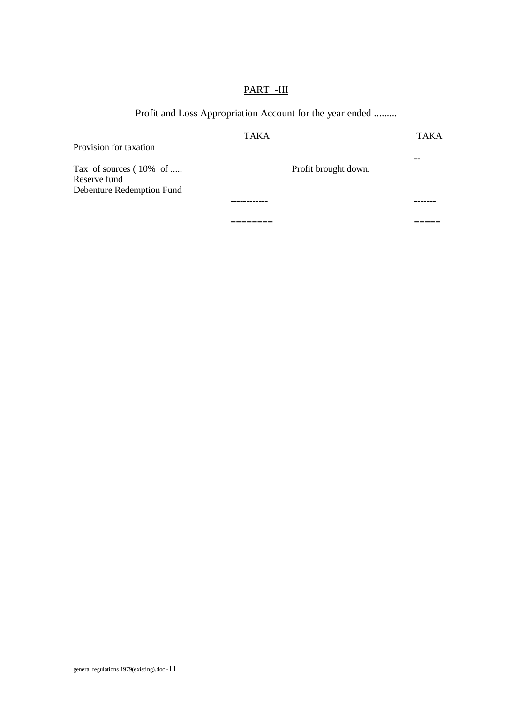# PART -III

# Profit and Loss Appropriation Account for the year ended .........

| Provision for taxation                                                           | <b>TAKA</b>          | <b>TAKA</b> |
|----------------------------------------------------------------------------------|----------------------|-------------|
| Tax of sources $(10\% \text{ of } $<br>Reserve fund<br>Debenture Redemption Fund | Profit brought down. | --          |
|                                                                                  | -----------          |             |
|                                                                                  |                      |             |